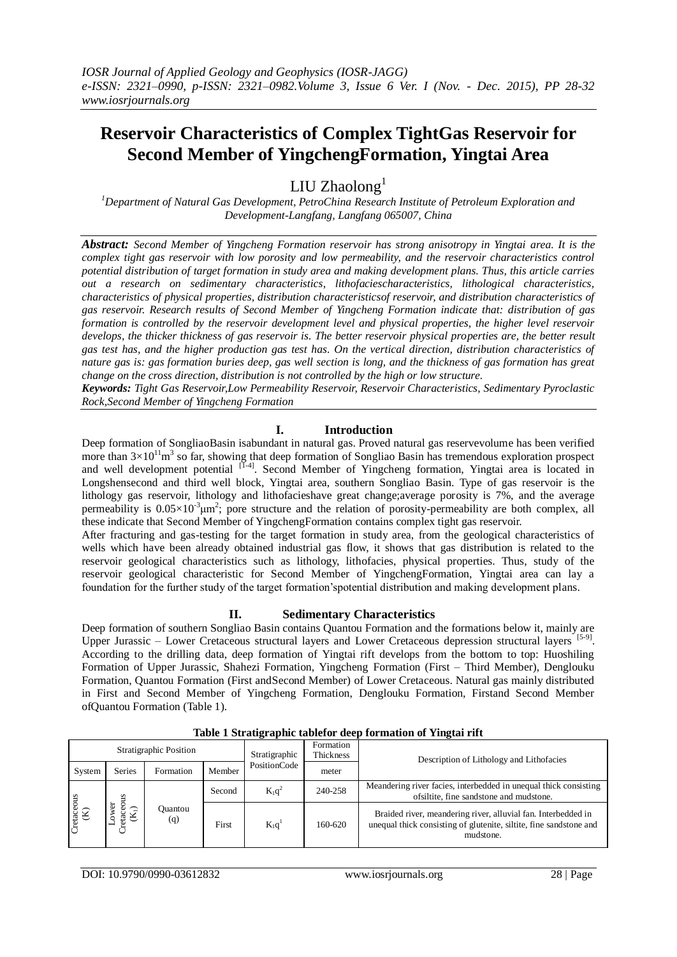# **Reservoir Characteristics of Complex TightGas Reservoir for Second Member of YingchengFormation, Yingtai Area**

LIU Zhaolong $<sup>1</sup>$ </sup>

*<sup>1</sup>Department of Natural Gas Development, PetroChina Research Institute of Petroleum Exploration and Development-Langfang, Langfang 065007, China*

*Abstract: Second Member of Yingcheng Formation reservoir has strong anisotropy in Yingtai area. It is the complex tight gas reservoir with low porosity and low permeability, and the reservoir characteristics control potential distribution of target formation in study area and making development plans. Thus, this article carries out a research on sedimentary characteristics, lithofaciescharacteristics, lithological characteristics, characteristics of physical properties, distribution characteristicsof reservoir, and distribution characteristics of gas reservoir. Research results of Second Member of Yingcheng Formation indicate that: distribution of gas formation is controlled by the reservoir development level and physical properties, the higher level reservoir develops, the thicker thickness of gas reservoir is. The better reservoir physical properties are, the better result gas test has, and the higher production gas test has. On the vertical direction, distribution characteristics of nature gas is: gas formation buries deep, gas well section is long, and the thickness of gas formation has great change on the cross direction, distribution is not controlled by the high or low structure.*

*Keywords: Tight Gas Reservoir,Low Permeability Reservoir, Reservoir Characteristics, Sedimentary Pyroclastic Rock,Second Member of Yingcheng Formation*

## **I. Introduction**

Deep formation of SongliaoBasin isabundant in natural gas. Proved natural gas reservevolume has been verified more than  $3\times10^{11}$ m<sup>3</sup> so far, showing that deep formation of Songliao Basin has tremendous exploration prospect and well development potential <sup>[1-4]</sup>. Second Member of Yingcheng formation, Yingtai area is located in Longshensecond and third well block, Yingtai area, southern Songliao Basin. Type of gas reservoir is the lithology gas reservoir, lithology and lithofacieshave great change;average porosity is 7%, and the average permeability is  $0.05 \times 10^{-3} \mu m^2$ ; pore structure and the relation of porosity-permeability are both complex, all these indicate that Second Member of YingchengFormation contains complex tight gas reservoir.

After fracturing and gas-testing for the target formation in study area, from the geological characteristics of wells which have been already obtained industrial gas flow, it shows that gas distribution is related to the reservoir geological characteristics such as lithology, lithofacies, physical properties. Thus, study of the reservoir geological characteristic for Second Member of YingchengFormation, Yingtai area can lay a foundation for the further study of the target formation'spotential distribution and making development plans.

#### **II. Sedimentary Characteristics**

Deep formation of southern Songliao Basin contains Quantou Formation and the formations below it, mainly are Upper Jurassic – Lower Cretaceous structural layers and Lower Cretaceous depression structural layers [5-9]. According to the drilling data, deep formation of Yingtai rift develops from the bottom to top: Huoshiling Formation of Upper Jurassic, Shahezi Formation, Yingcheng Formation (First – Third Member), Denglouku Formation, Quantou Formation (First andSecond Member) of Lower Cretaceous. Natural gas mainly distributed in First and Second Member of Yingcheng Formation, Denglouku Formation, Firstand Second Member ofQuantou Formation (Table 1).

|                  |                         | Stratigraphic Position |        | Stratigraphic<br>PositionCode | Formation<br>Thickness | Description of Lithology and Lithofacies                                                                                                         |
|------------------|-------------------------|------------------------|--------|-------------------------------|------------------------|--------------------------------------------------------------------------------------------------------------------------------------------------|
| System           | <b>Series</b>           | Formation              | Member |                               | meter                  |                                                                                                                                                  |
| Cretaceous $(K)$ | SIIO<br>ä<br>etac<br>K. | Ouantou<br>(q)         | Second | $K_1q^2$                      | 240-258                | Meandering river facies, interbedded in unequal thick consisting<br>ofsiltite, fine sandstone and mudstone.                                      |
|                  |                         |                        | First  | $K_1q$                        | 160-620                | Braided river, meandering river, alluvial fan. Interbedded in<br>unequal thick consisting of glutenite, siltite, fine sandstone and<br>mudstone. |

**Table 1 Stratigraphic tablefor deep formation of Yingtai rift**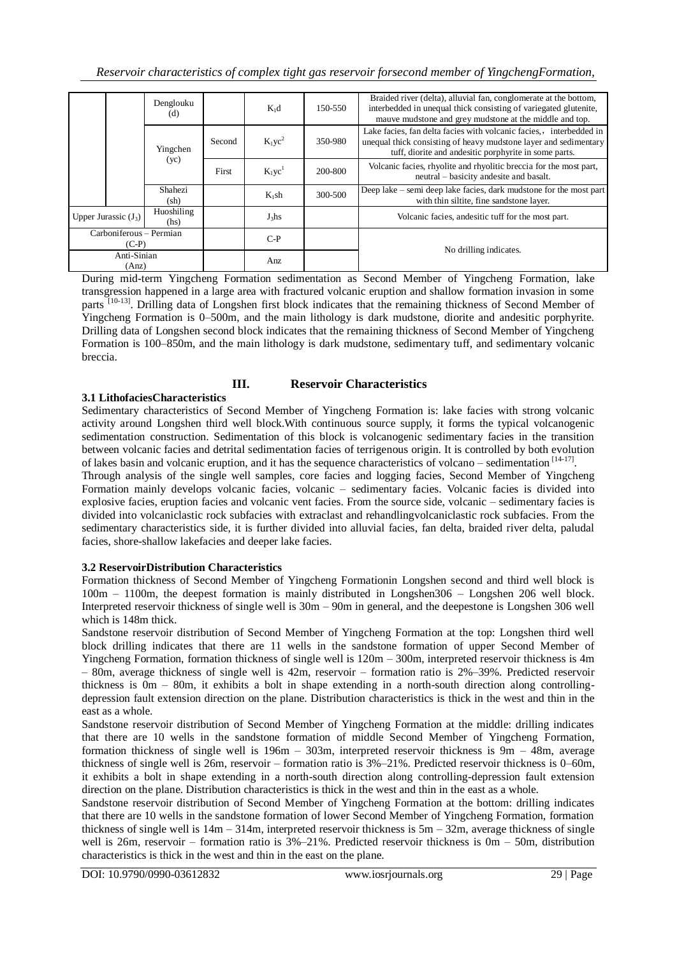|                                    |                        | Denglouku<br>(d)           |           | $K_1d$    | 150-550                                                                                                       | Braided river (delta), alluvial fan, conglomerate at the bottom,<br>interbedded in unequal thick consisting of variegated glutenite,<br>mauve mudstone and grey mudstone at the middle and top. |
|------------------------------------|------------------------|----------------------------|-----------|-----------|---------------------------------------------------------------------------------------------------------------|-------------------------------------------------------------------------------------------------------------------------------------------------------------------------------------------------|
|                                    |                        | Yingchen                   | Second    | $K_1yc^2$ | 350-980                                                                                                       | Lake facies, fan delta facies with volcanic facies, interbedded in<br>unequal thick consisting of heavy mudstone layer and sedimentary<br>tuff, diorite and andesitic porphyrite in some parts. |
|                                    | (yc)                   | First                      | $K_1yc^1$ | 200-800   | Volcanic facies, rhyolite and rhyolitic breccia for the most part,<br>neutral – basicity andesite and basalt. |                                                                                                                                                                                                 |
|                                    |                        | Shahezi<br>$(\mathrm{sh})$ |           | $K_1$ sh  | 300-500                                                                                                       | Deep lake – semi deep lake facies, dark mudstone for the most part<br>with thin siltite, fine sandstone layer.                                                                                  |
|                                    | Upper Jurassic $(J_3)$ | Huoshiling<br>(hs)         |           | $J_3$ hs  |                                                                                                               | Volcanic facies, and esitic tuff for the most part.                                                                                                                                             |
| Carboniferous - Permian<br>$(C-P)$ |                        |                            |           | $C-P$     |                                                                                                               | No drilling indicates.                                                                                                                                                                          |
| Anti-Sinian<br>(Ans)               |                        |                            |           | Anz.      |                                                                                                               |                                                                                                                                                                                                 |

During mid-term Yingcheng Formation sedimentation as Second Member of Yingcheng Formation, lake transgression happened in a large area with fractured volcanic eruption and shallow formation invasion in some parts <sup>[10-13]</sup>. Drilling data of Longshen first block indicates that the remaining thickness of Second Member of Yingcheng Formation is 0–500m, and the main lithology is dark mudstone, diorite and andesitic porphyrite. Drilling data of Longshen second block indicates that the remaining thickness of Second Member of Yingcheng Formation is 100–850m, and the main lithology is dark mudstone, sedimentary tuff, and sedimentary volcanic breccia.

# **III. Reservoir Characteristics**

#### **3.1 LithofaciesCharacteristics**

Sedimentary characteristics of Second Member of Yingcheng Formation is: lake facies with strong volcanic activity around Longshen third well block.With continuous source supply, it forms the typical volcanogenic sedimentation construction. Sedimentation of this block is volcanogenic sedimentary facies in the transition between volcanic facies and detrital sedimentation facies of terrigenous origin. It is controlled by both evolution of lakes basin and volcanic eruption, and it has the sequence characteristics of volcano – sedimentation [14-17].

Through analysis of the single well samples, core facies and logging facies, Second Member of Yingcheng Formation mainly develops volcanic facies, volcanic – sedimentary facies. Volcanic facies is divided into explosive facies, eruption facies and volcanic vent facies. From the source side, volcanic – sedimentary facies is divided into volcaniclastic rock subfacies with extraclast and rehandlingvolcaniclastic rock subfacies. From the sedimentary characteristics side, it is further divided into alluvial facies, fan delta, braided river delta, paludal facies, shore-shallow lakefacies and deeper lake facies.

#### **3.2 ReservoirDistribution Characteristics**

Formation thickness of Second Member of Yingcheng Formationin Longshen second and third well block is 100m – 1100m, the deepest formation is mainly distributed in Longshen306 – Longshen 206 well block. Interpreted reservoir thickness of single well is 30m – 90m in general, and the deepestone is Longshen 306 well which is 148m thick.

Sandstone reservoir distribution of Second Member of Yingcheng Formation at the top: Longshen third well block drilling indicates that there are 11 wells in the sandstone formation of upper Second Member of Yingcheng Formation, formation thickness of single well is 120m – 300m, interpreted reservoir thickness is 4m – 80m, average thickness of single well is 42m, reservoir – formation ratio is 2%–39%. Predicted reservoir thickness is 0m – 80m, it exhibits a bolt in shape extending in a north-south direction along controllingdepression fault extension direction on the plane. Distribution characteristics is thick in the west and thin in the east as a whole.

Sandstone reservoir distribution of Second Member of Yingcheng Formation at the middle: drilling indicates that there are 10 wells in the sandstone formation of middle Second Member of Yingcheng Formation, formation thickness of single well is 196m – 303m, interpreted reservoir thickness is 9m – 48m, average thickness of single well is 26m, reservoir – formation ratio is 3%–21%. Predicted reservoir thickness is 0–60m, it exhibits a bolt in shape extending in a north-south direction along controlling-depression fault extension direction on the plane. Distribution characteristics is thick in the west and thin in the east as a whole.

Sandstone reservoir distribution of Second Member of Yingcheng Formation at the bottom: drilling indicates that there are 10 wells in the sandstone formation of lower Second Member of Yingcheng Formation, formation thickness of single well is  $14m - 314m$ , interpreted reservoir thickness is  $5m - 32m$ , average thickness of single well is 26m, reservoir – formation ratio is  $3\%-21\%$ . Predicted reservoir thickness is 0m – 50m, distribution characteristics is thick in the west and thin in the east on the plane.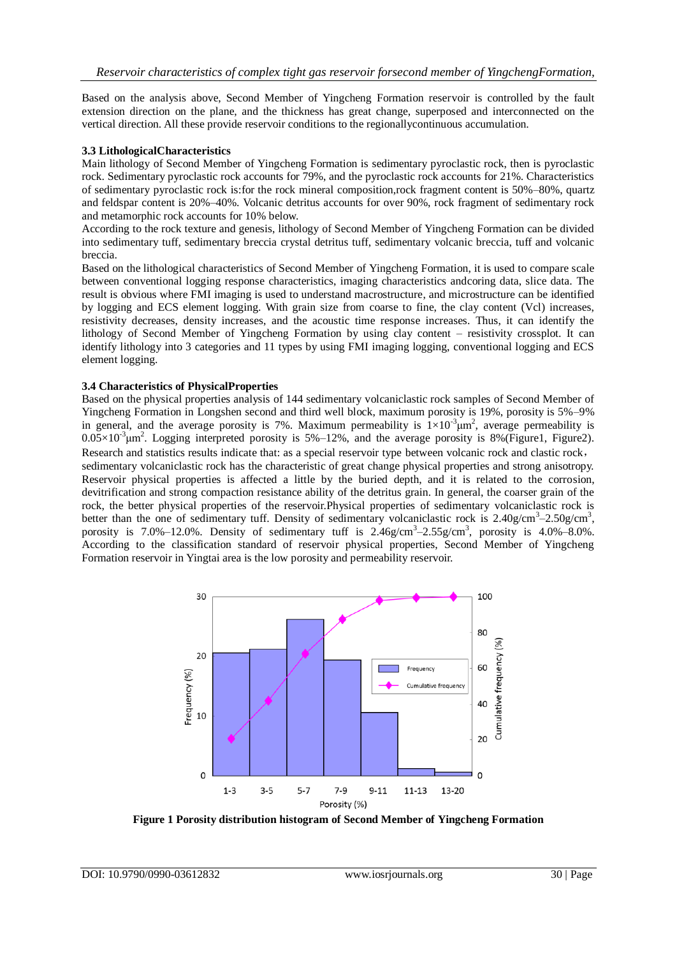Based on the analysis above, Second Member of Yingcheng Formation reservoir is controlled by the fault extension direction on the plane, and the thickness has great change, superposed and interconnected on the vertical direction. All these provide reservoir conditions to the regionallycontinuous accumulation.

#### **3.3 LithologicalCharacteristics**

Main lithology of Second Member of Yingcheng Formation is sedimentary pyroclastic rock, then is pyroclastic rock. Sedimentary pyroclastic rock accounts for 79%, and the pyroclastic rock accounts for 21%. Characteristics of sedimentary pyroclastic rock is:for the rock mineral composition,rock fragment content is 50%–80%, quartz and feldspar content is 20%–40%. Volcanic detritus accounts for over 90%, rock fragment of sedimentary rock and metamorphic rock accounts for 10% below.

According to the rock texture and genesis, lithology of Second Member of Yingcheng Formation can be divided into sedimentary tuff, sedimentary breccia crystal detritus tuff, sedimentary volcanic breccia, tuff and volcanic breccia.

Based on the lithological characteristics of Second Member of Yingcheng Formation, it is used to compare scale between conventional logging response characteristics, imaging characteristics andcoring data, slice data. The result is obvious where FMI imaging is used to understand macrostructure, and microstructure can be identified by logging and ECS element logging. With grain size from coarse to fine, the clay content (Vcl) increases, resistivity decreases, density increases, and the acoustic time response increases. Thus, it can identify the lithology of Second Member of Yingcheng Formation by using clay content – resistivity crossplot. It can identify lithology into 3 categories and 11 types by using FMI imaging logging, conventional logging and ECS element logging.

#### **3.4 Characteristics of PhysicalProperties**

Based on the physical properties analysis of 144 sedimentary volcaniclastic rock samples of Second Member of Yingcheng Formation in Longshen second and third well block, maximum porosity is 19%, porosity is 5%–9% in general, and the average porosity is 7%. Maximum permeability is  $1\times10^{-3}$   $\mu$ m<sup>2</sup>, average permeability is  $0.05 \times 10^{-3}$   $\mu$ m<sup>2</sup>. Logging interpreted porosity is 5%–12%, and the average porosity is 8% (Figure1, Figure2). Research and statistics results indicate that: as a special reservoir type between volcanic rock and clastic rock,

sedimentary volcaniclastic rock has the characteristic of great change physical properties and strong anisotropy. Reservoir physical properties is affected a little by the buried depth, and it is related to the corrosion, devitrification and strong compaction resistance ability of the detritus grain. In general, the coarser grain of the rock, the better physical properties of the reservoir.Physical properties of sedimentary volcaniclastic rock is better than the one of sedimentary tuff. Density of sedimentary volcaniclastic rock is  $2.40$ g/cm<sup>3</sup> $-2.50$ g/cm<sup>3</sup>, porosity is 7.0%–12.0%. Density of sedimentary tuff is  $2.46g/cm^3-2.55g/cm^3$ , porosity is  $4.0\%$ –8.0%. According to the classification standard of reservoir physical properties, Second Member of Yingcheng Formation reservoir in Yingtai area is the low porosity and permeability reservoir.



**Figure 1 Porosity distribution histogram of Second Member of Yingcheng Formation**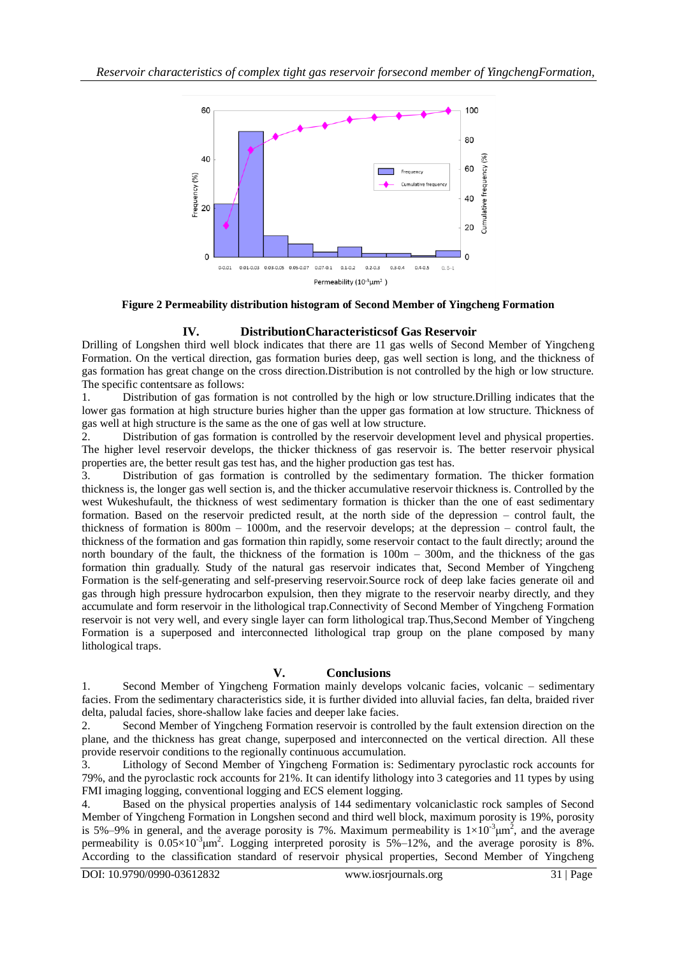

**Figure 2 Permeability distribution histogram of Second Member of Yingcheng Formation**

### **IV. DistributionCharacteristicsof Gas Reservoir**

Drilling of Longshen third well block indicates that there are 11 gas wells of Second Member of Yingcheng Formation. On the vertical direction, gas formation buries deep, gas well section is long, and the thickness of gas formation has great change on the cross direction.Distribution is not controlled by the high or low structure. The specific contentsare as follows:

1. Distribution of gas formation is not controlled by the high or low structure.Drilling indicates that the lower gas formation at high structure buries higher than the upper gas formation at low structure. Thickness of gas well at high structure is the same as the one of gas well at low structure.

2. Distribution of gas formation is controlled by the reservoir development level and physical properties. The higher level reservoir develops, the thicker thickness of gas reservoir is. The better reservoir physical properties are, the better result gas test has, and the higher production gas test has.

3. Distribution of gas formation is controlled by the sedimentary formation. The thicker formation thickness is, the longer gas well section is, and the thicker accumulative reservoir thickness is. Controlled by the west Wukeshufault, the thickness of west sedimentary formation is thicker than the one of east sedimentary formation. Based on the reservoir predicted result, at the north side of the depression – control fault, the thickness of formation is  $800m - 1000m$ , and the reservoir develops; at the depression – control fault, the thickness of the formation and gas formation thin rapidly, some reservoir contact to the fault directly; around the north boundary of the fault, the thickness of the formation is 100m – 300m, and the thickness of the gas formation thin gradually. Study of the natural gas reservoir indicates that, Second Member of Yingcheng Formation is the self-generating and self-preserving reservoir.Source rock of deep lake facies generate oil and gas through high pressure hydrocarbon expulsion, then they migrate to the reservoir nearby directly, and they accumulate and form reservoir in the lithological trap.Connectivity of Second Member of Yingcheng Formation reservoir is not very well, and every single layer can form lithological trap.Thus,Second Member of Yingcheng Formation is a superposed and interconnected lithological trap group on the plane composed by many lithological traps.

#### **V. Conclusions**

1. Second Member of Yingcheng Formation mainly develops volcanic facies, volcanic – sedimentary facies. From the sedimentary characteristics side, it is further divided into alluvial facies, fan delta, braided river delta, paludal facies, shore-shallow lake facies and deeper lake facies.

2. Second Member of Yingcheng Formation reservoir is controlled by the fault extension direction on the plane, and the thickness has great change, superposed and interconnected on the vertical direction. All these provide reservoir conditions to the regionally continuous accumulation.

Lithology of Second Member of Yingcheng Formation is: Sedimentary pyroclastic rock accounts for 79%, and the pyroclastic rock accounts for 21%. It can identify lithology into 3 categories and 11 types by using FMI imaging logging, conventional logging and ECS element logging.

4. Based on the physical properties analysis of 144 sedimentary volcaniclastic rock samples of Second Member of Yingcheng Formation in Longshen second and third well block, maximum porosity is 19%, porosity is 5%–9% in general, and the average porosity is 7%. Maximum permeability is  $1 \times 10^{-3} \mu m^2$ , and the average permeability is  $0.05 \times 10^{-3}$   $\mu$ m<sup>2</sup>. Logging interpreted porosity is  $5\% - 12\%$ , and the average porosity is 8%. According to the classification standard of reservoir physical properties, Second Member of Yingcheng

DOI: 10.9790/0990-03612832 www.iosrjournals.org 31 | Page